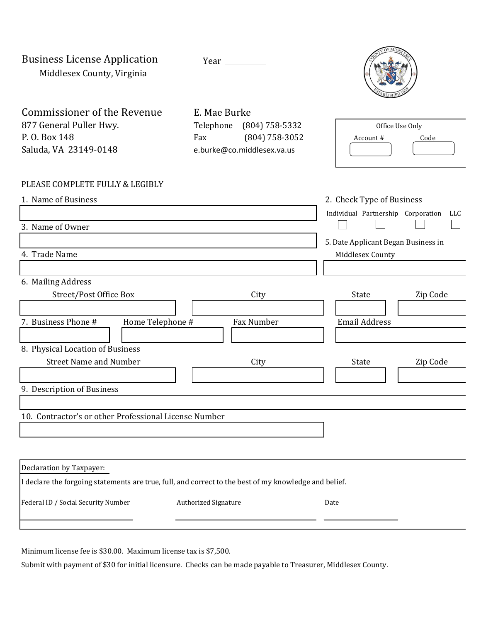Business License Application Middlesex County, Virginia

Year



Commissioner of the Revenue E. Mae Burke 877 General Puller Hwy. Telephone (804) 758-5332 P. O. Box 148 Fax (804) 758-3052 Saluda, VA 23149-0148 [e.burke@co.middlesex.va.us](mailto:e.burke@co.middlesex.va.us)

| Office Use Only |      |  |  |  |
|-----------------|------|--|--|--|
| Account #       | Code |  |  |  |

## PLEASE COMPLETE FULLY & LEGIBLY

| 1. Name of Business              |                                                       |                                     | 2. Check Type of Business          |          |
|----------------------------------|-------------------------------------------------------|-------------------------------------|------------------------------------|----------|
|                                  |                                                       |                                     | Individual Partnership Corporation | LLC      |
| 3. Name of Owner                 |                                                       |                                     |                                    |          |
|                                  |                                                       | 5. Date Applicant Began Business in |                                    |          |
| 4. Trade Name                    |                                                       | Middlesex County                    |                                    |          |
|                                  |                                                       |                                     |                                    |          |
| 6. Mailing Address               |                                                       |                                     |                                    |          |
| Street/Post Office Box           |                                                       | City                                | State                              | Zip Code |
|                                  |                                                       |                                     |                                    |          |
| 7. Business Phone #              | Home Telephone #                                      | Fax Number                          | <b>Email Address</b>               |          |
|                                  |                                                       |                                     |                                    |          |
| 8. Physical Location of Business |                                                       |                                     |                                    |          |
| <b>Street Name and Number</b>    |                                                       | City                                | State                              | Zip Code |
|                                  |                                                       |                                     |                                    |          |
| 9. Description of Business       |                                                       |                                     |                                    |          |
|                                  |                                                       |                                     |                                    |          |
|                                  | 10. Contractor's or other Professional License Number |                                     |                                    |          |
|                                  |                                                       |                                     |                                    |          |
|                                  |                                                       |                                     |                                    |          |
|                                  |                                                       |                                     |                                    |          |
| Declaration by Taxpayer:         |                                                       |                                     |                                    |          |

| Federal ID / Social Security Number |  |
|-------------------------------------|--|
|-------------------------------------|--|

Authorized Signature **Date** 

Minimum license fee is \$30.00. Maximum license tax is \$7,500.

Submit with payment of \$30 for initial licensure. Checks can be made payable to Treasurer, Middlesex County.